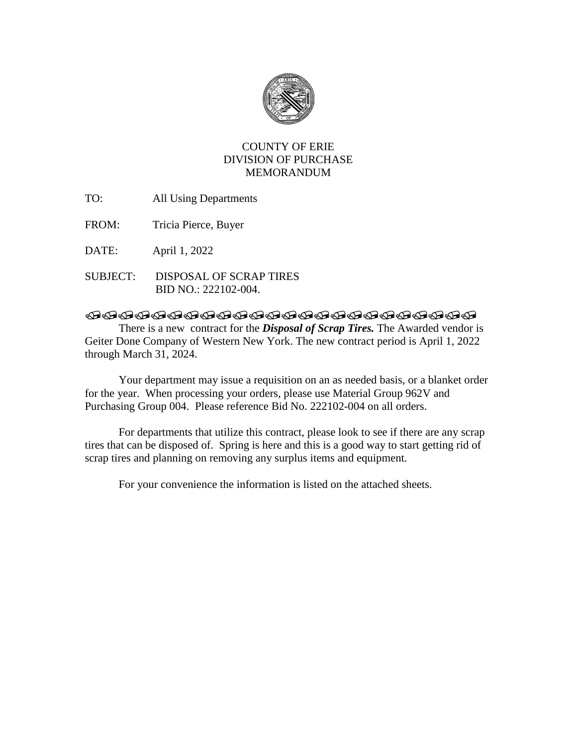

## COUNTY OF ERIE DIVISION OF PURCHASE MEMORANDUM

- TO: All Using Departments
- FROM: Tricia Pierce, Buyer

DATE: April 1, 2022

SUBJECT: DISPOSAL OF SCRAP TIRES BID NO.: 222102-004.

## **@@@@@@@@@@@@@@@@@@@@@@@**@@@@

There is a new contract for the *Disposal of Scrap Tires.* The Awarded vendor is Geiter Done Company of Western New York. The new contract period is April 1, 2022 through March 31, 2024.

Your department may issue a requisition on an as needed basis, or a blanket order for the year. When processing your orders, please use Material Group 962V and Purchasing Group 004. Please reference Bid No. 222102-004 on all orders.

For departments that utilize this contract, please look to see if there are any scrap tires that can be disposed of. Spring is here and this is a good way to start getting rid of scrap tires and planning on removing any surplus items and equipment.

For your convenience the information is listed on the attached sheets.